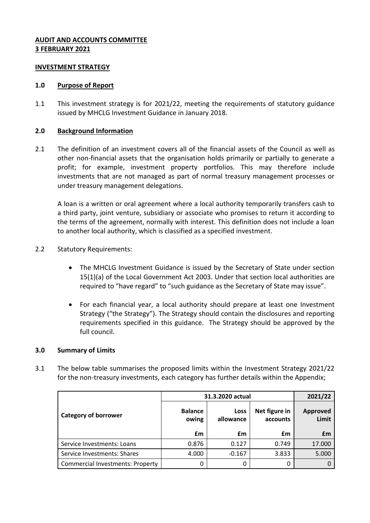# **AUDIT AND ACCOUNTS COMMITTEE 3 FEBRUARY 2021**

#### **INVESTMENT STRATEGY**

#### **1.0 Purpose of Report**

1.1 This investment strategy is for 2021/22, meeting the requirements of statutory guidance issued by MHCLG Investment Guidance in January 2018.

## **2.0 Background Information**

2.1 The definition of an investment covers all of the financial assets of the Council as well as other non-financial assets that the organisation holds primarily or partially to generate a profit; for example, investment property portfolios. This may therefore include investments that are not managed as part of normal treasury management processes or under treasury management delegations.

A loan is a written or oral agreement where a local authority temporarily transfers cash to a third party, joint venture, subsidiary or associate who promises to return it according to the terms of the agreement, normally with interest. This definition does not include a loan to another local authority, which is classified as a specified investment.

## 2.2 Statutory Requirements:

- The MHCLG Investment Guidance is issued by the Secretary of State under section 15(1)(a) of the Local Government Act 2003. Under that section local authorities are required to "have regard" to "such guidance as the Secretary of State may issue".
- For each financial year, a local authority should prepare at least one Investment Strategy ("the Strategy"). The Strategy should contain the disclosures and reporting requirements specified in this guidance. The Strategy should be approved by the full council.

#### **3.0 Summary of Limits**

3.1 The below table summarises the proposed limits within the Investment Strategy 2021/22 for the non-treasury investments, each category has further details within the Appendix;

|                                         | 31.3.2020 actual        |                   |                           | 2021/22                  |
|-----------------------------------------|-------------------------|-------------------|---------------------------|--------------------------|
| <b>Category of borrower</b>             | <b>Balance</b><br>owing | Loss<br>allowance | Net figure in<br>accounts | <b>Approved</b><br>Limit |
|                                         | £m                      | £m                | £m                        | £m                       |
| Service Investments: Loans              | 0.876                   | 0.127             | 0.749                     | 17.000                   |
| Service Investments: Shares             | 4.000                   | $-0.167$          | 3.833                     | 5.000                    |
| <b>Commercial Investments: Property</b> |                         | 0                 |                           |                          |